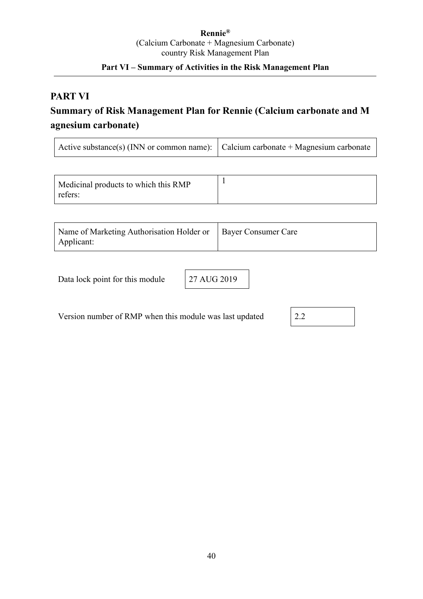### **Rennie®** (Calcium Carbonate + Magnesium Carbonate) country Risk Management Plan

## **Part VI – Summary of Activities in the Risk Management Plan**

## **PART VI**

# **Summary of Risk Management Plan for Rennie (Calcium carbonate and M agnesium carbonate)**

| Active substance(s) (INN or common name): $\vert$ Calcium carbonate + Magnesium carbonate |  |
|-------------------------------------------------------------------------------------------|--|
|-------------------------------------------------------------------------------------------|--|

| Name of Marketing Authorisation Holder or   Bayer Consumer Care |  |
|-----------------------------------------------------------------|--|
| Applicant:                                                      |  |

Data lock point for this module 27 AUG 2019

Version number of RMP when this module was last updated 2.2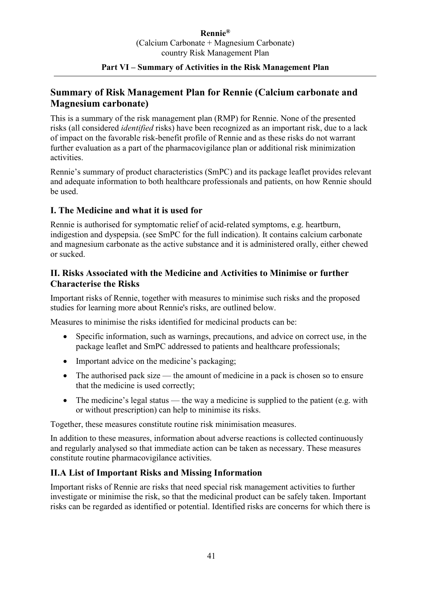## **Summary of Risk Management Plan for Rennie (Calcium carbonate and Magnesium carbonate)**

This is a summary of the risk management plan (RMP) for Rennie. None of the presented risks (all considered *identified* risks) have been recognized as an important risk, due to a lack of impact on the favorable risk-benefit profile of Rennie and as these risks do not warrant further evaluation as a part of the pharmacovigilance plan or additional risk minimization activities.

Rennie's summary of product characteristics (SmPC) and its package leaflet provides relevant and adequate information to both healthcare professionals and patients, on how Rennie should be used.

### **I. The Medicine and what it is used for**

Rennie is authorised for symptomatic relief of acid-related symptoms, e.g. heartburn, indigestion and dyspepsia. (see SmPC for the full indication). It contains calcium carbonate and magnesium carbonate as the active substance and it is administered orally, either chewed or sucked.

### **II. Risks Associated with the Medicine and Activities to Minimise or further Characterise the Risks**

Important risks of Rennie, together with measures to minimise such risks and the proposed studies for learning more about Rennie's risks, are outlined below.

Measures to minimise the risks identified for medicinal products can be:

- Specific information, such as warnings, precautions, and advice on correct use, in the package leaflet and SmPC addressed to patients and healthcare professionals;
- Important advice on the medicine's packaging;
- The authorised pack size the amount of medicine in a pack is chosen so to ensure that the medicine is used correctly;
- The medicine's legal status the way a medicine is supplied to the patient (e.g. with or without prescription) can help to minimise its risks.

Together, these measures constitute routine risk minimisation measures.

In addition to these measures, information about adverse reactions is collected continuously and regularly analysed so that immediate action can be taken as necessary. These measures constitute routine pharmacovigilance activities.

### **II.A List of Important Risks and Missing Information**

Important risks of Rennie are risks that need special risk management activities to further investigate or minimise the risk, so that the medicinal product can be safely taken. Important risks can be regarded as identified or potential. Identified risks are concerns for which there is